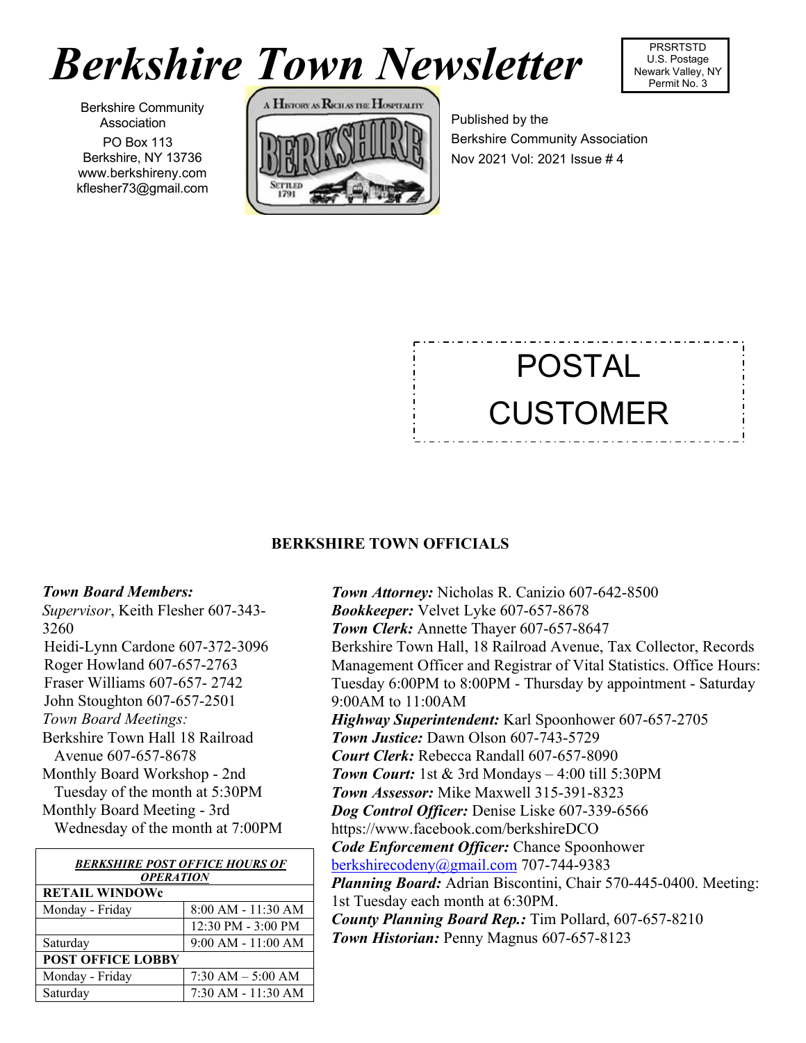# *Berkshire Town Newsletter*



Berkshire Community Association PO Box 113 Berkshire, NY 13736 [www.berkshireny.com](http://www.berkshireny.com/) [kflesher73@gmail.com](mailto:kflesher73@gmail.com)



Published by the Berkshire Community Association Nov 2021 Vol: 2021 Issue # 4

# POSTAL CUSTOMER

## **BERKSHIRE TOWN OFFICIALS**

### *Town Board Members:*

*Supervisor*, Keith Flesher 607-343- 3260 Heidi-Lynn Cardone 607-372-3096 Roger Howland 607-657-2763 Fraser Williams 607-657- 2742 [John Stoughton](mailto:jdstoughton@juno.com) 607-657-2501 *Town Board Meetings:* Berkshire Town Hall 18 Railroad Avenue 607-657-8678 Monthly Board Workshop - 2nd Tuesday of the month at 5:30PM Monthly Board Meeting - 3rd Wednesday of the month at 7:00PM

| <b>BERKSHIRE POST OFFICE HOURS OF</b> |                        |
|---------------------------------------|------------------------|
| <b>OPERATION</b>                      |                        |
| <b>RETAIL WINDOWe</b>                 |                        |
| Monday - Friday                       | $8:00 AM - 11:30 AM$   |
|                                       | 12:30 PM - 3:00 PM     |
| Saturday                              | $9:00$ AM - $11:00$ AM |
| <b>POST OFFICE LOBBY</b>              |                        |
| Monday - Friday                       | $7:30$ AM $-5:00$ AM   |
| Saturday                              | $7:30$ AM $-11:30$ AM  |

*Town Attorney:* Nicholas R. Canizio 607-642-8500 *Bookkeeper:* [Velvet](mailto:rsbierl@gmail.com) Lyke 607-657-8678 *Town Clerk:* [Annette Thayer](mailto:BerkshireTC@gmail.com) 607-657-8647 Berkshire Town Hall, 18 Railroad Avenue, Tax Collector, Records Management Officer and Registrar of Vital Statistics. Office Hours: Tuesday 6:00PM to 8:00PM - Thursday by appointment - Saturday 9:00AM to 11:00AM *Highway Superintendent:* Karl Spoonhower 607-657-2705 *Town Justice:* Dawn Olson 607-743-5729 *Court Clerk:* Rebecca Randall 607-657-8090 *Town Court:* 1st & 3rd Mondays – 4:00 till 5:30PM *Town Assessor:* Mike Maxwell 315-391-8323 *Dog Control Officer:* Denise Liske 607-339-6566 <https://www.facebook.com/berkshireDCO> *Code Enforcement Officer:* Chance Spoonhower [berkshirecodeny@gmail.com](mailto:berkshirecodeny@gmail.com) 707-744-9383 *Planning Board:* Adrian Biscontini, Chair 570-445-0400. Meeting: 1st Tuesday each month at 6:30PM. *County Planning Board Rep.:* Tim Pollard, 607-657-8210 *Town Historian:* Penny Magnus 607-657-8123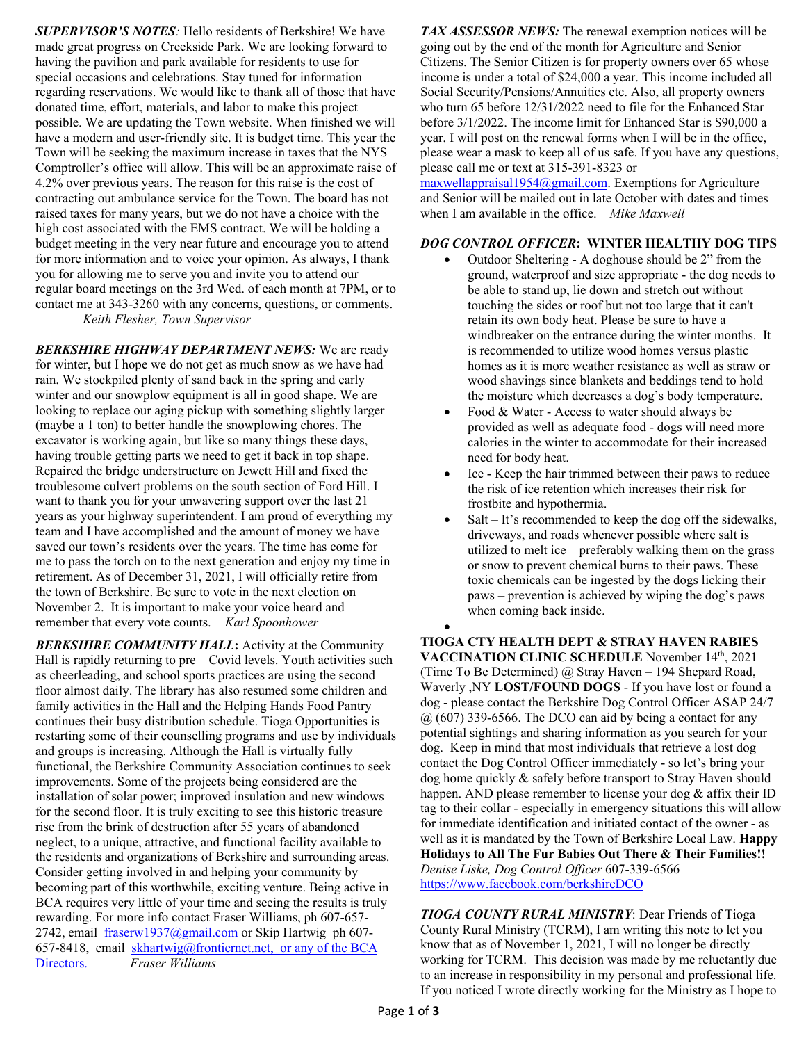*SUPERVISOR'S NOTES:* Hello residents of Berkshire! We have made great progress on Creekside Park. We are looking forward to having the pavilion and park available for residents to use for special occasions and celebrations. Stay tuned for information regarding reservations. We would like to thank all of those that have donated time, effort, materials, and labor to make this project possible. We are updating the Town website. When finished we will have a modern and user-friendly site. It is budget time. This year the Town will be seeking the maximum increase in taxes that the NYS Comptroller's office will allow. This will be an approximate raise of 4.2% over previous years. The reason for this raise is the cost of contracting out ambulance service for the Town. The board has not raised taxes for many years, but we do not have a choice with the high cost associated with the EMS contract. We will be holding a budget meeting in the very near future and encourage you to attend for more information and to voice your opinion. As always, I thank you for allowing me to serve you and invite you to attend our regular board meetings on the 3rd Wed. of each month at 7PM, or to contact me at 343-3260 with any concerns, questions, or comments. *Keith Flesher, Town Supervisor*

*BERKSHIRE HIGHWAY DEPARTMENT NEWS:* We are ready for winter, but I hope we do not get as much snow as we have had rain. We stockpiled plenty of sand back in the spring and early winter and our snowplow equipment is all in good shape. We are looking to replace our aging pickup with something slightly larger (maybe a 1 ton) to better handle the snowplowing chores. The excavator is working again, but like so many things these days, having trouble getting parts we need to get it back in top shape. Repaired the bridge understructure on Jewett Hill and fixed the troublesome culvert problems on the south section of Ford Hill. I want to thank you for your unwavering support over the last 21 years as your highway superintendent. I am proud of everything my team and I have accomplished and the amount of money we have saved our town's residents over the years. The time has come for me to pass the torch on to the next generation and enjoy my time in retirement. As of December 31, 2021, I will officially retire from the town of Berkshire. Be sure to vote in the next election on November 2. It is important to make your voice heard and remember that every vote counts. *Karl Spoonhower*

*BERKSHIRE COMMUNITY HALL***:** Activity at the Community Hall is rapidly returning to pre – Covid levels. Youth activities such as cheerleading, and school sports practices are using the second floor almost daily. The library has also resumed some children and family activities in the Hall and the Helping Hands Food Pantry continues their busy distribution schedule. Tioga Opportunities is restarting some of their counselling programs and use by individuals and groups is increasing. Although the Hall is virtually fully functional, the Berkshire Community Association continues to seek improvements. Some of the projects being considered are the installation of solar power; improved insulation and new windows for the second floor. It is truly exciting to see this historic treasure rise from the brink of destruction after 55 years of abandoned neglect, to a unique, attractive, and functional facility available to the residents and organizations of Berkshire and surrounding areas. Consider getting involved in and helping your community by becoming part of this worthwhile, exciting venture. Being active in BCA requires very little of your time and seeing the results is truly rewarding. For more info contact Fraser Williams, ph 607-657 2742, email [fraserw1937@gmail.com](about:blank) or Skip Hartwig ph 607657-8418, email [skhartwig@frontiernet.net,](about:blank) or any of the BCA Directors. *Fraser Williams*

*TAX ASSESSOR NEWS:* The renewal exemption notices will be going out by the end of the month for Agriculture and Senior Citizens. The Senior Citizen is for property owners over 65 whose income is under a total of \$24,000 a year. This income included all Social Security/Pensions/Annuities etc. Also, all property owners who turn 65 before 12/31/2022 need to file for the Enhanced Star before 3/1/2022. The income limit for Enhanced Star is \$90,000 a year. I will post on the renewal forms when I will be in the office, please wear a mask to keep all of us safe. If you have any questions, please call me or text at 315-391-8323 or

 $maxwellappraisal1954@gmail.com$ . Exemptions for Agriculture and Senior will be mailed out in late October with dates and times when I am available in the office. *Mike Maxwell*

#### *DOG CONTROL OFFICER***: WINTER HEALTHY DOG TIPS**

- Outdoor Sheltering A doghouse should be 2" from the ground, waterproof and size appropriate - the dog needs to be able to stand up, lie down and stretch out without touching the sides or roof but not too large that it can't retain its own body heat. Please be sure to have a windbreaker on the entrance during the winter months. It is recommended to utilize wood homes versus plastic homes as it is more weather resistance as well as straw or wood shavings since blankets and beddings tend to hold the moisture which decreases a dog's body temperature.
- Food & Water Access to water should always be provided as well as adequate food - dogs will need more calories in the winter to accommodate for their increased need for body heat.
- Ice Keep the hair trimmed between their paws to reduce the risk of ice retention which increases their risk for frostbite and hypothermia.
- Salt  $-$  It's recommended to keep the dog off the sidewalks, driveways, and roads whenever possible where salt is utilized to melt ice – preferably walking them on the grass or snow to prevent chemical burns to their paws. These toxic chemicals can be ingested by the dogs licking their paws – prevention is achieved by wiping the dog's paws when coming back inside.

• **TIOGA CTY HEALTH DEPT & STRAY HAVEN RABIES**  VACCINATION CLINIC SCHEDULE November 14th, 2021 (Time To Be Determined) @ Stray Haven – 194 Shepard Road, Waverly ,NY **LOST/FOUND DOGS** - If you have lost or found a dog - please contact the Berkshire Dog Control Officer ASAP 24/7  $(a)$  (607) 339-6566. The DCO can aid by being a contact for any potential sightings and sharing information as you search for your dog. Keep in mind that most individuals that retrieve a lost dog contact the Dog Control Officer immediately - so let's bring your dog home quickly & safely before transport to Stray Haven should happen. AND please remember to license your dog & affix their ID tag to their collar - especially in emergency situations this will allow for immediate identification and initiated contact of the owner - as well as it is mandated by the Town of Berkshire Local Law. **Happy Holidays to All The Fur Babies Out There & Their Families!!** *Denise Liske, Dog Control Officer* 607-339-6566 [https://www.facebook.com/berkshireDCO](about:blank)

*TIOGA COUNTY RURAL MINISTRY*: Dear Friends of Tioga County Rural Ministry (TCRM), I am writing this note to let you know that as of November 1, 2021, I will no longer be directly working for TCRM. This decision was made by me reluctantly due to an increase in responsibility in my personal and professional life. If you noticed I wrote directly working for the Ministry as I hope to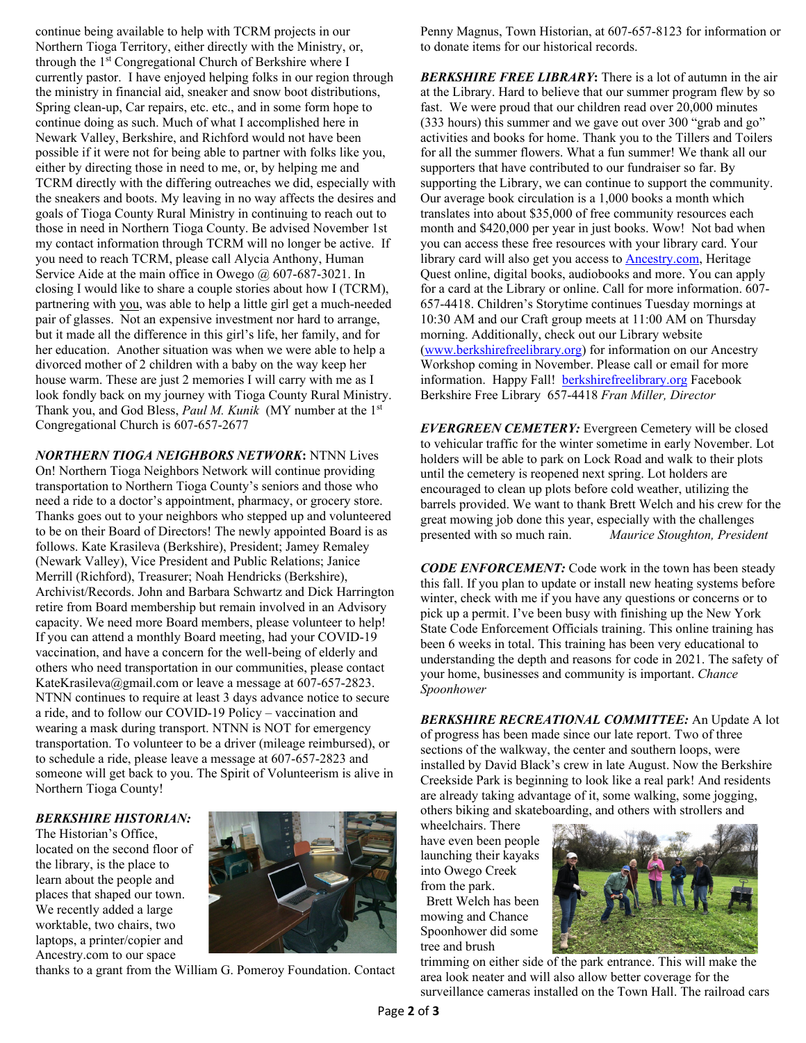continue being available to help with TCRM projects in our Northern Tioga Territory, either directly with the Ministry, or, through the 1st Congregational Church of Berkshire where I currently pastor. I have enjoyed helping folks in our region through the ministry in financial aid, sneaker and snow boot distributions, Spring clean-up, Car repairs, etc. etc., and in some form hope to continue doing as such. Much of what I accomplished here in Newark Valley, Berkshire, and Richford would not have been possible if it were not for being able to partner with folks like you, either by directing those in need to me, or, by helping me and TCRM directly with the differing outreaches we did, especially with the sneakers and boots. My leaving in no way affects the desires and goals of Tioga County Rural Ministry in continuing to reach out to those in need in Northern Tioga County. Be advised November 1st my contact information through TCRM will no longer be active. If you need to reach TCRM, please call Alycia Anthony, Human Service Aide at the main office in Owego @ 607-687-3021. In closing I would like to share a couple stories about how I (TCRM), partnering with you, was able to help a little girl get a much-needed pair of glasses. Not an expensive investment nor hard to arrange, but it made all the difference in this girl's life, her family, and for her education. Another situation was when we were able to help a divorced mother of 2 children with a baby on the way keep her house warm. These are just 2 memories I will carry with me as I look fondly back on my journey with Tioga County Rural Ministry. Thank you, and God Bless, *Paul M. Kunik* (MY number at the 1st Congregational Church is 607-657-2677

*NORTHERN TIOGA NEIGHBORS NETWORK***:** NTNN Lives On! Northern Tioga Neighbors Network will continue providing transportation to Northern Tioga County's seniors and those who need a ride to a doctor's appointment, pharmacy, or grocery store. Thanks goes out to your neighbors who stepped up and volunteered to be on their Board of Directors! The newly appointed Board is as follows. Kate Krasileva (Berkshire), President; Jamey Remaley (Newark Valley), Vice President and Public Relations; Janice Merrill (Richford), Treasurer; Noah Hendricks (Berkshire), Archivist/Records. John and Barbara Schwartz and Dick Harrington retire from Board membership but remain involved in an Advisory capacity. We need more Board members, please volunteer to help! If you can attend a monthly Board meeting, had your COVID-19 vaccination, and have a concern for the well-being of elderly and others who need transportation in our communities, please contact KateKrasileva@gmail.com or leave a message at 607-657-2823. NTNN continues to require at least 3 days advance notice to secure a ride, and to follow our COVID-19 Policy – vaccination and wearing a mask during transport. NTNN is NOT for emergency transportation. To volunteer to be a driver (mileage reimbursed), or to schedule a ride, please leave a message at 607-657-2823 and someone will get back to you. The Spirit of Volunteerism is alive in Northern Tioga County!

#### *BERKSHIRE HISTORIAN:*

The Historian's Office, located on the second floor of the library, is the place to learn about the people and places that shaped our town. We recently added a large worktable, two chairs, two laptops, a printer/copier and Ancestry.com to our space



thanks to a grant from the William G. Pomeroy Foundation. Contact

Penny Magnus, Town Historian, at 607-657-8123 for information or to donate items for our historical records.

*BERKSHIRE FREE LIBRARY***:** There is a lot of autumn in the air at the Library. Hard to believe that our summer program flew by so fast. We were proud that our children read over 20,000 minutes (333 hours) this summer and we gave out over 300 "grab and go" activities and books for home. Thank you to the Tillers and Toilers for all the summer flowers. What a fun summer! We thank all our supporters that have contributed to our fundraiser so far. By supporting the Library, we can continue to support the community. Our average book circulation is a 1,000 books a month which translates into about \$35,000 of free community resources each month and \$420,000 per year in just books. Wow! Not bad when you can access these free resources with your library card. Your library card will also get you access to [Ancestry.com,](about:blank) Heritage Quest online, digital books, audiobooks and more. You can apply for a card at the Library or online. Call for more information. 607- 657-4418. Children's Storytime continues Tuesday mornings at 10:30 AM and our Craft group meets at 11:00 AM on Thursday morning. Additionally, check out our Library website [\(www.berkshirefreelibrary.org\)](about:blank) for information on our Ancestry Workshop coming in November. Please call or email for more information. Happy Fall! [berkshirefreelibrary.org](about:blank) Facebook Berkshire Free Library 657-4418 *Fran Miller, Director*

*EVERGREEN CEMETERY:* Evergreen Cemetery will be closed to vehicular traffic for the winter sometime in early November. Lot holders will be able to park on Lock Road and walk to their plots until the cemetery is reopened next spring. Lot holders are encouraged to clean up plots before cold weather, utilizing the barrels provided. We want to thank Brett Welch and his crew for the great mowing job done this year, especially with the challenges<br>presented with so much rain. Maurice Stoughton, Preside presented with so much rain. *Maurice Stoughton, President*

*CODE ENFORCEMENT:* Code work in the town has been steady this fall. If you plan to update or install new heating systems before winter, check with me if you have any questions or concerns or to pick up a permit. I've been busy with finishing up the New York State Code Enforcement Officials training. This online training has been 6 weeks in total. This training has been very educational to understanding the depth and reasons for code in 2021. The safety of your home, businesses and community is important. *Chance Spoonhower*

*BERKSHIRE RECREATIONAL COMMITTEE:* An Update A lot of progress has been made since our late report. Two of three sections of the walkway, the center and southern loops, were installed by David Black's crew in late August. Now the Berkshire Creekside Park is beginning to look like a real park! And residents are already taking advantage of it, some walking, some jogging, others biking and skateboarding, and others with strollers and

wheelchairs. There have even been people launching their kayaks into Owego Creek from the park.

Brett Welch has been mowing and Chance Spoonhower did some tree and brush



trimming on either side of the park entrance. This will make the area look neater and will also allow better coverage for the surveillance cameras installed on the Town Hall. The railroad cars